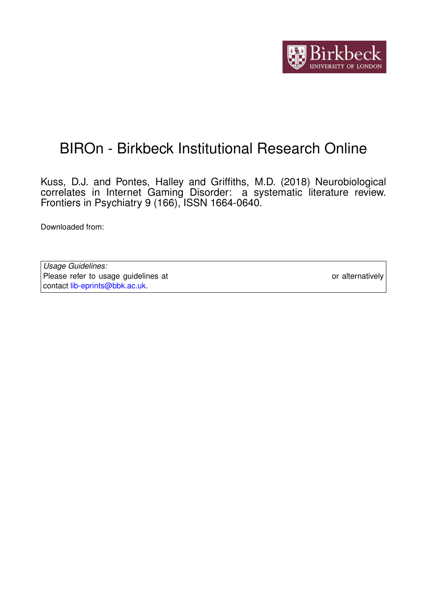

# BIROn - Birkbeck Institutional Research Online

Kuss, D.J. and Pontes, Halley and Griffiths, M.D. (2018) Neurobiological correlates in Internet Gaming Disorder: a systematic literature review. Frontiers in Psychiatry 9 (166), ISSN 1664-0640.

Downloaded from: <https://eprints.bbk.ac.uk/id/eprint/43493/>

*Usage Guidelines:* Please refer to usage guidelines at <https://eprints.bbk.ac.uk/policies.html> or alternatively contact [lib-eprints@bbk.ac.uk.](mailto:lib-eprints@bbk.ac.uk)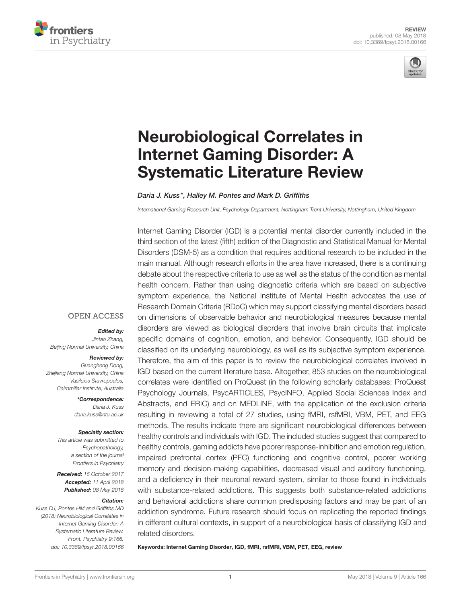



# Neurobiological Correlates in Internet Gaming Disorder: A [Systematic Literature Review](https://www.frontiersin.org/articles/10.3389/fpsyt.2018.00166/full)

[Daria J. Kuss\\*](http://loop.frontiersin.org/people/179574/overview), [Halley M. Pontes](http://loop.frontiersin.org/people/435959/overview) and [Mark D. Griffiths](http://loop.frontiersin.org/people/69839/overview)

*International Gaming Research Unit, Psychology Department, Nottingham Trent University, Nottingham, United Kingdom*

Internet Gaming Disorder (IGD) is a potential mental disorder currently included in the third section of the latest (fifth) edition of the Diagnostic and Statistical Manual for Mental Disorders (DSM-5) as a condition that requires additional research to be included in the main manual. Although research efforts in the area have increased, there is a continuing debate about the respective criteria to use as well as the status of the condition as mental health concern. Rather than using diagnostic criteria which are based on subjective symptom experience, the National Institute of Mental Health advocates the use of Research Domain Criteria (RDoC) which may support classifying mental disorders based on dimensions of observable behavior and neurobiological measures because mental disorders are viewed as biological disorders that involve brain circuits that implicate specific domains of cognition, emotion, and behavior. Consequently, IGD should be classified on its underlying neurobiology, as well as its subjective symptom experience. Therefore, the aim of this paper is to review the neurobiological correlates involved in IGD based on the current literature base. Altogether, 853 studies on the neurobiological correlates were identified on ProQuest (in the following scholarly databases: ProQuest Psychology Journals, PsycARTICLES, PsycINFO, Applied Social Sciences Index and Abstracts, and ERIC) and on MEDLINE, with the application of the exclusion criteria resulting in reviewing a total of 27 studies, using fMRI, rsfMRI, VBM, PET, and EEG methods. The results indicate there are significant neurobiological differences between healthy controls and individuals with IGD. The included studies suggest that compared to healthy controls, gaming addicts have poorer response-inhibition and emotion regulation, impaired prefrontal cortex (PFC) functioning and cognitive control, poorer working memory and decision-making capabilities, decreased visual and auditory functioning, and a deficiency in their neuronal reward system, similar to those found in individuals with substance-related addictions. This suggests both substance-related addictions and behavioral addictions share common predisposing factors and may be part of an addiction syndrome. Future research should focus on replicating the reported findings in different cultural contexts, in support of a neurobiological basis of classifying IGD and related disorders.

Keywords: Internet Gaming Disorder, IGD, fMRI, rsfMRI, VBM, PET, EEG, review

#### **OPEN ACCESS**

#### Edited by:

*Jintao Zhang, Beijing Normal University, China*

#### Reviewed by:

*Guangheng Dong, Zhejiang Normal University, China Vasileios Stavropoulos, Cairnmillar Institute, Australia*

> \*Correspondence: *Daria J. Kuss [daria.kuss@ntu.ac.uk](mailto:daria.kuss@ntu.ac.uk)*

#### Specialty section:

*This article was submitted to Psychopathology, a section of the journal Frontiers in Psychiatry*

Received: *16 October 2017* Accepted: *11 April 2018* Published: *08 May 2018*

#### Citation:

*Kuss DJ, Pontes HM and Griffiths MD (2018) Neurobiological Correlates in Internet Gaming Disorder: A Systematic Literature Review. Front. Psychiatry 9:166. doi: [10.3389/fpsyt.2018.00166](https://doi.org/10.3389/fpsyt.2018.00166)*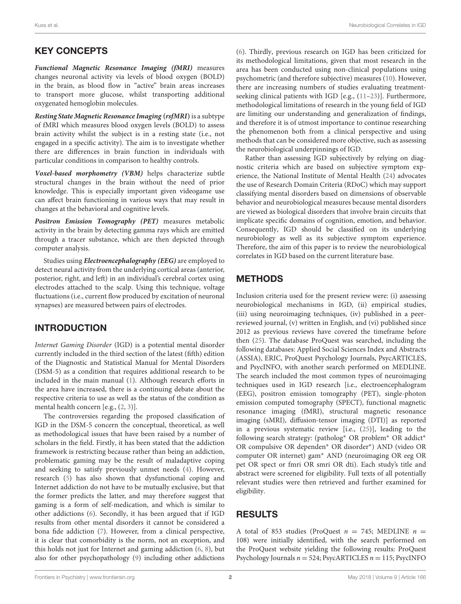# KEY CONCEPTS

**Functional Magnetic Resonance Imaging (fMRI)** measures changes neuronal activity via levels of blood oxygen (BOLD) in the brain, as blood flow in "active" brain areas increases to transport more glucose, whilst transporting additional oxygenated hemoglobin molecules.

**Resting State Magnetic Resonance Imaging (rsfMRI)**is a subtype of fMRI which measures blood oxygen levels (BOLD) to assess brain activity whilst the subject is in a resting state (i.e., not engaged in a specific activity). The aim is to investigate whether there are differences in brain function in individuals with particular conditions in comparison to healthy controls.

**Voxel-based morphometry (VBM)** helps characterize subtle structural changes in the brain without the need of prior knowledge. This is especially important given videogame use can affect brain functioning in various ways that may result in changes at the behavioral and cognitive levels.

**Positron Emission Tomography (PET)** measures metabolic activity in the brain by detecting gamma rays which are emitted through a tracer substance, which are then depicted through computer analysis.

Studies using **Electroencephalography (EEG)** are employed to detect neural activity from the underlying cortical areas (anterior, posterior, right, and left) in an individual's cerebral cortex using electrodes attached to the scalp. Using this technique, voltage fluctuations (i.e., current flow produced by excitation of neuronal synapses) are measured between pairs of electrodes.

# INTRODUCTION

Internet Gaming Disorder (IGD) is a potential mental disorder currently included in the third section of the latest (fifth) edition of the Diagnostic and Statistical Manual for Mental Disorders (DSM-5) as a condition that requires additional research to be included in the main manual [\(1\)](#page-10-0). Although research efforts in the area have increased, there is a continuing debate about the respective criteria to use as well as the status of the condition as mental health concern [e.g., [\(2,](#page-10-1) [3\)](#page-10-2)].

The controversies regarding the proposed classification of IGD in the DSM-5 concern the conceptual, theoretical, as well as methodological issues that have been raised by a number of scholars in the field. Firstly, it has been stated that the addiction framework is restricting because rather than being an addiction, problematic gaming may be the result of maladaptive coping and seeking to satisfy previously unmet needs [\(4\)](#page-11-0). However, research [\(5\)](#page-11-1) has also shown that dysfunctional coping and Internet addiction do not have to be mutually exclusive, but that the former predicts the latter, and may therefore suggest that gaming is a form of self-medication, and which is similar to other addictions [\(6\)](#page-11-2). Secondly, it has been argued that if IGD results from other mental disorders it cannot be considered a bona fide addiction [\(7\)](#page-11-3). However, from a clinical perspective, it is clear that comorbidity is the norm, not an exception, and this holds not just for Internet and gaming addiction [\(6,](#page-11-2) [8\)](#page-11-4), but also for other psychopathology [\(9\)](#page-11-5) including other addictions [\(6\)](#page-11-2). Thirdly, previous research on IGD has been criticized for its methodological limitations, given that most research in the area has been conducted using non-clinical populations using psychometric (and therefore subjective) measures [\(10\)](#page-11-6). However, there are increasing numbers of studies evaluating treatmentseeking clinical patients with IGD [e.g., [\(11](#page-11-7)[–23\)](#page-11-8)]. Furthermore, methodological limitations of research in the young field of IGD are limiting our understanding and generalization of findings, and therefore it is of utmost importance to continue researching the phenomenon both from a clinical perspective and using methods that can be considered more objective, such as assessing the neurobiological underpinnings of IGD.

Rather than assessing IGD subjectively by relying on diagnostic criteria which are based on subjective symptom experience, the National Institute of Mental Health [\(24\)](#page-11-9) advocates the use of Research Domain Criteria (RDoC) which may support classifying mental disorders based on dimensions of observable behavior and neurobiological measures because mental disorders are viewed as biological disorders that involve brain circuits that implicate specific domains of cognition, emotion, and behavior. Consequently, IGD should be classified on its underlying neurobiology as well as its subjective symptom experience. Therefore, the aim of this paper is to review the neurobiological correlates in IGD based on the current literature base.

# **METHODS**

Inclusion criteria used for the present review were: (i) assessing neurobiological mechanisms in IGD, (ii) empirical studies, (iii) using neuroimaging techniques, (iv) published in a peerreviewed journal, (v) written in English, and (vi) published since 2012 as previous reviews have covered the timeframe before then [\(25\)](#page-11-10). The database ProQuest was searched, including the following databases: Applied Social Sciences Index and Abstracts (ASSIA), ERIC, ProQuest Psychology Journals, PsycARTICLES, and PsycINFO, with another search performed on MEDLINE. The search included the most common types of neuroimaging techniques used in IGD research [i.e., electroencephalogram (EEG), positron emission tomography (PET), single-photon emission computed tomography (SPECT), functional magnetic resonance imaging (fMRI), structural magnetic resonance imaging (sMRI), diffusion-tensor imaging (DTI)] as reported in a previous systematic review [i.e., [\(25\)](#page-11-10)], leading to the following search strategy: (patholog<sup>∗</sup> OR problem<sup>∗</sup> OR addict<sup>∗</sup> OR compulsive OR dependen<sup>∗</sup> OR disorder<sup>∗</sup> ) AND (video OR computer OR internet) gam<sup>∗</sup> AND (neuroimaging OR eeg OR pet OR spect or fmri OR smri OR dti). Each study's title and abstract were screened for eligibility. Full texts of all potentially relevant studies were then retrieved and further examined for eligibility.

# RESULTS

A total of 853 studies (ProQuest  $n = 745$ ; MEDLINE  $n =$ 108) were initially identified, with the search performed on the ProQuest website yielding the following results: ProQuest Psychology Journals  $n = 524$ ; PsycARTICLES  $n = 115$ ; PsycINFO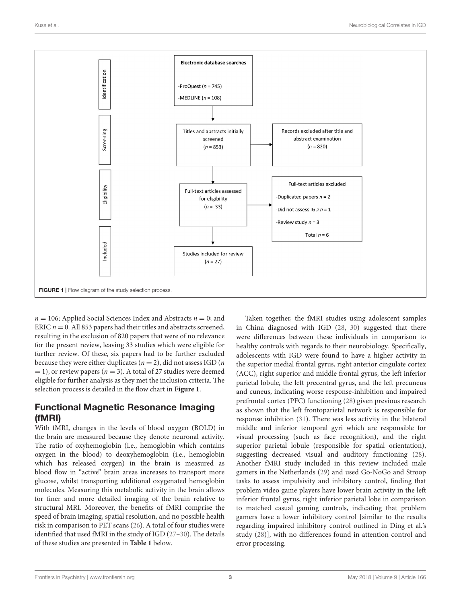

<span id="page-3-0"></span> $n = 106$ ; Applied Social Sciences Index and Abstracts  $n = 0$ ; and ERIC  $n = 0$ . All 853 papers had their titles and abstracts screened, resulting in the exclusion of 820 papers that were of no relevance for the present review, leaving 33 studies which were eligible for further review. Of these, six papers had to be further excluded because they were either duplicates ( $n = 2$ ), did not assess IGD (*n*)  $= 1$ ), or review papers ( $n = 3$ ). A total of 27 studies were deemed eligible for further analysis as they met the inclusion criteria. The selection process is detailed in the flow chart in **[Figure 1](#page-3-0)**.

# Functional Magnetic Resonance Imaging (fMRI)

With fMRI, changes in the levels of blood oxygen (BOLD) in the brain are measured because they denote neuronal activity. The ratio of oxyhemoglobin (i.e., hemoglobin which contains oxygen in the blood) to deoxyhemoglobin (i.e., hemoglobin which has released oxygen) in the brain is measured as blood flow in "active" brain areas increases to transport more glucose, whilst transporting additional oxygenated hemoglobin molecules. Measuring this metabolic activity in the brain allows for finer and more detailed imaging of the brain relative to structural MRI. Moreover, the benefits of fMRI comprise the speed of brain imaging, spatial resolution, and no possible health risk in comparison to PET scans [\(26\)](#page-11-11). A total of four studies were identified that used fMRI in the study of IGD [\(27–](#page-11-12)[30\)](#page-11-13). The details of these studies are presented in **[Table 1](#page-4-0)** below.

Taken together, the fMRI studies using adolescent samples in China diagnosed with IGD [\(28,](#page-11-14) [30\)](#page-11-13) suggested that there were differences between these individuals in comparison to healthy controls with regards to their neurobiology. Specifically, adolescents with IGD were found to have a higher activity in the superior medial frontal gyrus, right anterior cingulate cortex (ACC), right superior and middle frontal gyrus, the left inferior parietal lobule, the left precentral gyrus, and the left precuneus and cuneus, indicating worse response-inhibition and impaired prefrontal cortex (PFC) functioning [\(28\)](#page-11-14) given previous research as shown that the left frontoparietal network is responsible for response inhibition [\(31\)](#page-11-15). There was less activity in the bilateral middle and inferior temporal gyri which are responsible for visual processing (such as face recognition), and the right superior parietal lobule (responsible for spatial orientation), suggesting decreased visual and auditory functioning [\(28\)](#page-11-14). Another fMRI study included in this review included male gamers in the Netherlands [\(29\)](#page-11-16) and used Go-NoGo and Stroop tasks to assess impulsivity and inhibitory control, finding that problem video game players have lower brain activity in the left inferior frontal gyrus, right inferior parietal lobe in comparison to matched casual gaming controls, indicating that problem gamers have a lower inhibitory control [similar to the results regarding impaired inhibitory control outlined in Ding et al.'s study [\(28\)](#page-11-14)], with no differences found in attention control and error processing.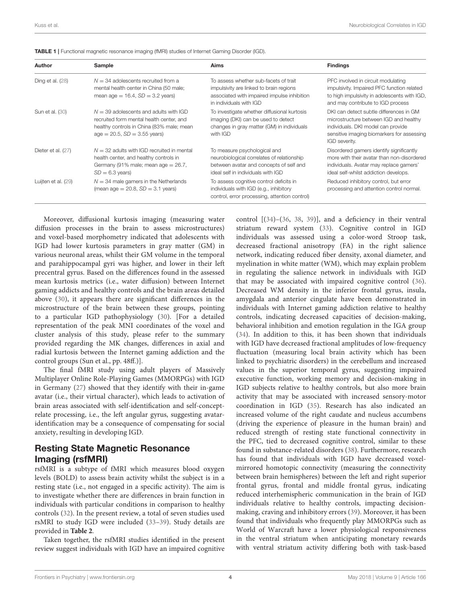| Author                 | Sample                                                                                                                                                                 | Aims                                                                                                                                                        | <b>Findings</b>                                                                                                                                                                        |
|------------------------|------------------------------------------------------------------------------------------------------------------------------------------------------------------------|-------------------------------------------------------------------------------------------------------------------------------------------------------------|----------------------------------------------------------------------------------------------------------------------------------------------------------------------------------------|
| Ding et al. (28)       | $N = 34$ adolescents recruited from a<br>mental health center in China (50 male;<br>mean age $= 16.4$ , $SD = 3.2$ years)                                              | To assess whether sub-facets of trait<br>impulsivity are linked to brain regions<br>associated with impaired impulse inhibition<br>in individuals with IGD  | PFC involved in circuit modulating<br>impulsivity. Impaired PFC function related<br>to high impulsivity in adolescents with IGD,<br>and may contribute to IGD process                  |
| <b>Sun et al. (30)</b> | $N = 39$ adolescents and adults with IGD<br>recruited form mental health center, and<br>healthy controls in China (83% male; mean<br>$age = 20.5$ , $SD = 3.55$ years) | To investigate whether diffusional kurtosis<br>imaging (DKI) can be used to detect<br>changes in gray matter (GM) in individuals<br>with IGD                | DKI can detect subtle differences in GM<br>microstructure between IGD and healthy<br>individuals. DKI model can provide<br>sensitive imaging biomarkers for assessing<br>IGD severity. |
| Dieter et al. (27)     | $N = 32$ adults with IGD recruited in mental<br>health center, and healthy controls in<br>Germany (91% male; mean age $= 26.7$ ,<br>$SD = 6.3 \text{ years}$           | To measure psychological and<br>neurobiological correlates of relationship<br>between avatar and concepts of self and<br>ideal self in individuals with IGD | Disordered gamers identify significantly<br>more with their avatar than non-disordered<br>individuals. Avatar may replace gamers'<br>ideal self-whilst addiction develops.             |
| Luijten et al. (29)    | $N = 34$ male gamers in the Netherlands<br>(mean age $= 20.8$ , $SD = 3.1$ years)                                                                                      | To assess cognitive control deficits in<br>individuals with IGD (e.g., inhibitory<br>control, error processing, attention control)                          | Reduced inhibitory control, but error<br>processing and attention control normal.                                                                                                      |

<span id="page-4-0"></span>TABLE 1 | Functional magnetic resonance imaging (fMRI) studies of Internet Gaming Disorder (IGD).

Moreover, diffusional kurtosis imaging (measuring water diffusion processes in the brain to assess microstructures) and voxel-based morphometry indicated that adolescents with IGD had lower kurtosis parameters in gray matter (GM) in various neuronal areas, whilst their GM volume in the temporal and parahippocampal gyri was higher, and lower in their left precentral gyrus. Based on the differences found in the assessed mean kurtosis metrics (i.e., water diffusion) between Internet gaming addicts and healthy controls and the brain areas detailed above [\(30\)](#page-11-13), it appears there are significant differences in the microstructure of the brain between these groups, pointing to a particular IGD pathophysiology [\(30\)](#page-11-13). [For a detailed representation of the peak MNI coordinates of the voxel and cluster analysis of this study, please refer to the summary provided regarding the MK changes, differences in axial and radial kurtosis between the Internet gaming addiction and the control groups (Sun et al., pp. 48ff.)].

The final fMRI study using adult players of Massively Multiplayer Online Role-Playing Games (MMORPGs) with IGD in Germany [\(27\)](#page-11-12) showed that they identify with their in-game avatar (i.e., their virtual character), which leads to activation of brain areas associated with self-identification and self-conceptrelate processing, i.e., the left angular gyrus, suggesting avataridentification may be a consequence of compensating for social anxiety, resulting in developing IGD.

### Resting State Magnetic Resonance Imaging (rsfMRI)

rsfMRI is a subtype of fMRI which measures blood oxygen levels (BOLD) to assess brain activity whilst the subject is in a resting state (i.e., not engaged in a specific activity). The aim is to investigate whether there are differences in brain function in individuals with particular conditions in comparison to healthy controls [\(32\)](#page-11-17). In the present review, a total of seven studies used rsMRI to study IGD were included [\(33](#page-11-18)[–39\)](#page-11-19). Study details are provided in **[Table 2](#page-5-0)**.

Taken together, the rsfMRI studies identified in the present review suggest individuals with IGD have an impaired cognitive control [[\(34\)](#page-11-20)–[\(36,](#page-11-21) [38,](#page-11-22) [39\)](#page-11-19)], and a deficiency in their ventral striatum reward system [\(33\)](#page-11-18). Cognitive control in IGD individuals was assessed using a color-word Stroop task, decreased fractional anisotropy (FA) in the right salience network, indicating reduced fiber density, axonal diameter, and myelination in white matter (WM), which may explain problem in regulating the salience network in individuals with IGD that may be associated with impaired cognitive control [\(36\)](#page-11-21). Decreased WM density in the inferior frontal gyrus, insula, amygdala and anterior cingulate have been demonstrated in individuals with Internet gaming addiction relative to healthy controls, indicating decreased capacities of decision-making, behavioral inhibition and emotion regulation in the IGA group [\(34\)](#page-11-20). In addition to this, it has been shown that individuals with IGD have decreased fractional amplitudes of low-frequency fluctuation (measuring local brain activity which has been linked to psychiatric disorders) in the cerebellum and increased values in the superior temporal gyrus, suggesting impaired executive function, working memory and decision-making in IGD subjects relative to healthy controls, but also more brain activity that may be associated with increased sensory-motor coordination in IGD [\(35\)](#page-11-23). Research has also indicated an increased volume of the right caudate and nucleus accumbens (driving the experience of pleasure in the human brain) and reduced strength of resting state functional connectivity in the PFC, tied to decreased cognitive control, similar to these found in substance-related disorders [\(38\)](#page-11-22). Furthermore, research has found that individuals with IGD have decreased voxelmirrored homotopic connectivity (measuring the connectivity between brain hemispheres) between the left and right superior frontal gyrus, frontal and middle frontal gyrus, indicating reduced interhemispheric communication in the brain of IGD individuals relative to healthy controls, impacting decisionmaking, craving and inhibitory errors [\(39\)](#page-11-19). Moreover, it has been found that individuals who frequently play MMORPGs such as World of Warcraft have a lower physiological responsiveness in the ventral striatum when anticipating monetary rewards with ventral striatum activity differing both with task-based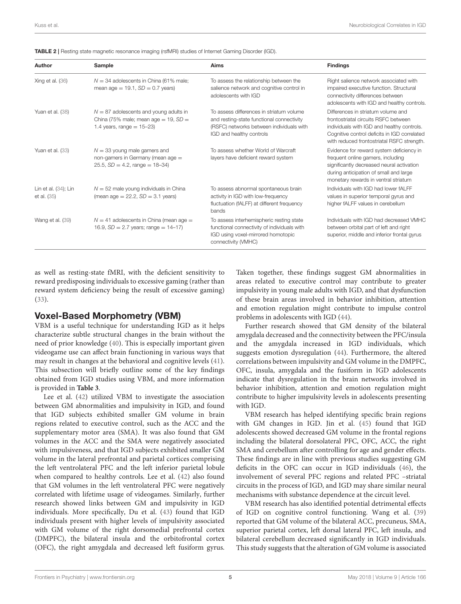| <b>IADLE 4</b>   Nestrity state magnetic resonance imaging (ishvirti) studies of internet Gaming Disorder (IGD). |                                                                                                                    |                                                                                                                                                               |                                                                                                                                                                                                                        |  |
|------------------------------------------------------------------------------------------------------------------|--------------------------------------------------------------------------------------------------------------------|---------------------------------------------------------------------------------------------------------------------------------------------------------------|------------------------------------------------------------------------------------------------------------------------------------------------------------------------------------------------------------------------|--|
| Author                                                                                                           | Sample                                                                                                             | Aims                                                                                                                                                          | <b>Findings</b><br>Right salience network associated with<br>impaired executive function. Structural<br>connectivity differences between<br>adolescents with IGD and healthy controls                                  |  |
| Xing et al. (36)                                                                                                 | $N = 34$ adolescents in China (61% male;<br>mean age = $19.1$ , $SD = 0.7$ years)                                  | To assess the relationship between the<br>salience network and cognitive control in<br>adolescents with IGD                                                   |                                                                                                                                                                                                                        |  |
| Yuan et al. (38)                                                                                                 | $N = 87$ adolescents and young adults in<br>China (75% male; mean age = 19, $SD =$<br>1.4 years, range = $15-23$ ) | To assess differences in striatum volume<br>and resting-state functional connectivity<br>(RSFC) networks between individuals with<br>IGD and healthy controls | Differences in striatum volume and<br>frontostriatal circuits RSFC between<br>individuals with IGD and healthy controls.<br>Cognitive control deficits in IGD correlated<br>with reduced frontostriatal RSFC strength. |  |
| Yuan et al. (33)                                                                                                 | $N = 33$ young male gamers and<br>non-gamers in Germany (mean age =<br>$25.5, SD = 4.2, range = 18-34$             | To assess whether World of Warcraft<br>layers have deficient reward system                                                                                    | Evidence for reward system deficiency in<br>frequent online gamers, including<br>significantly decreased neural activation<br>during anticipation of small and large<br>monetary rewards in ventral striatum           |  |
| Lin et al. (34); Lin<br>et al. (35)                                                                              | $N = 52$ male young individuals in China<br>(mean age = $22.2$ , $SD = 3.1$ years)                                 | To assess abnormal spontaneous brain<br>activity in IGD with low-frequency<br>fluctuation (fALFF) at different frequency<br>bands                             | Individuals with IGD had lower fALFF<br>values in superior temporal gyrus and<br>higher fALFF values in cerebellum                                                                                                     |  |
| Wang et al. (39)                                                                                                 | $N = 41$ adolescents in China (mean age =<br>16.9, $SD = 2.7$ years; range = 14-17)                                | To assess interhemispheric resting state<br>functional connectivity of individuals with<br>IGD using voxel-mirrored homotopic<br>connectivity (VMHC)          | Individuals with IGD had decreased VMHC<br>between orbital part of left and right<br>superior, middle and inferior frontal gyrus                                                                                       |  |
|                                                                                                                  |                                                                                                                    |                                                                                                                                                               |                                                                                                                                                                                                                        |  |

<span id="page-5-0"></span>

| <b>TABLE 2</b>   Resting state magnetic resonance imaging (rsfMRI) studies of Internet Gaming Disorder (IGD). |  |
|---------------------------------------------------------------------------------------------------------------|--|
|---------------------------------------------------------------------------------------------------------------|--|

as well as resting-state fMRI, with the deficient sensitivity to reward predisposing individuals to excessive gaming (rather than reward system deficiency being the result of excessive gaming) [\(33\)](#page-11-18).

#### Voxel-Based Morphometry (VBM)

VBM is a useful technique for understanding IGD as it helps characterize subtle structural changes in the brain without the need of prior knowledge [\(40\)](#page-11-24). This is especially important given videogame use can affect brain functioning in various ways that may result in changes at the behavioral and cognitive levels [\(41\)](#page-11-25). This subsection will briefly outline some of the key findings obtained from IGD studies using VBM, and more information is provided in **[Table 3](#page-6-0)**.

Lee et al. [\(42\)](#page-11-26) utilized VBM to investigate the association between GM abnormalities and impulsivity in IGD, and found that IGD subjects exhibited smaller GM volume in brain regions related to executive control, such as the ACC and the supplementary motor area (SMA). It was also found that GM volumes in the ACC and the SMA were negatively associated with impulsiveness, and that IGD subjects exhibited smaller GM volume in the lateral prefrontal and parietal cortices comprising the left ventrolateral PFC and the left inferior parietal lobule when compared to healthy controls. Lee et al. [\(42\)](#page-11-26) also found that GM volumes in the left ventrolateral PFC were negatively correlated with lifetime usage of videogames. Similarly, further research showed links between GM and impulsivity in IGD individuals. More specifically, Du et al. [\(43\)](#page-11-27) found that IGD individuals present with higher levels of impulsivity associated with GM volume of the right dorsomedial prefrontal cortex (DMPFC), the bilateral insula and the orbitofrontal cortex (OFC), the right amygdala and decreased left fusiform gyrus.

Taken together, these findings suggest GM abnormalities in areas related to executive control may contribute to greater impulsivity in young male adults with IGD, and that dysfunction of these brain areas involved in behavior inhibition, attention and emotion regulation might contribute to impulse control problems in adolescents with IGD [\(44\)](#page-11-28).

Further research showed that GM density of the bilateral amygdala decreased and the connectivity between the PFC/insula and the amygdala increased in IGD individuals, which suggests emotion dysregulation [\(44\)](#page-11-28). Furthermore, the altered correlations between impulsivity and GM volume in the DMPFC, OFC, insula, amygdala and the fusiform in IGD adolescents indicate that dysregulation in the brain networks involved in behavior inhibition, attention and emotion regulation might contribute to higher impulsivity levels in adolescents presenting with IGD.

VBM research has helped identifying specific brain regions with GM changes in IGD. Jin et al. [\(45\)](#page-12-0) found that IGD adolescents showed decreased GM volume in the frontal regions including the bilateral dorsolateral PFC, OFC, ACC, the right SMA and cerebellum after controlling for age and gender effects. These findings are in line with previous studies suggesting GM deficits in the OFC can occur in IGD individuals [\(46\)](#page-12-1), the involvement of several PFC regions and related PFC –striatal circuits in the process of IGD, and IGD may share similar neural mechanisms with substance dependence at the circuit level.

VBM research has also identified potential detrimental effects of IGD on cognitive control functioning. Wang et al. [\(39\)](#page-11-19) reported that GM volume of the bilateral ACC, precuneus, SMA, superior parietal cortex, left dorsal lateral PFC, left insula, and bilateral cerebellum decreased significantly in IGD individuals. This study suggests that the alteration of GM volume is associated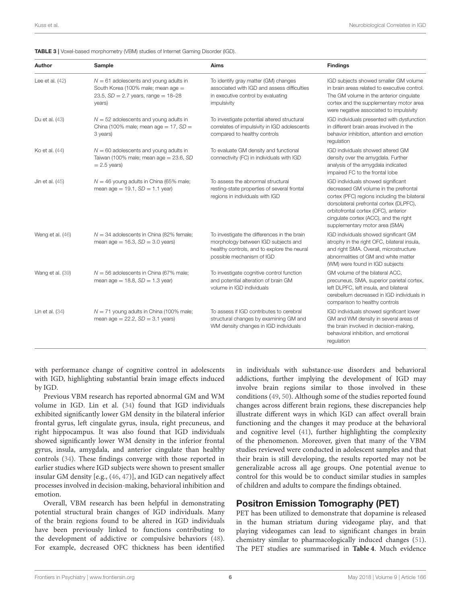| Author            | Sample                                                                                                                            | Aims                                                                                                                                                           | <b>Findings</b>                                                                                                                                                                                                                                                                           |
|-------------------|-----------------------------------------------------------------------------------------------------------------------------------|----------------------------------------------------------------------------------------------------------------------------------------------------------------|-------------------------------------------------------------------------------------------------------------------------------------------------------------------------------------------------------------------------------------------------------------------------------------------|
| Lee et al. $(42)$ | $N = 61$ adolescents and young adults in<br>South Korea (100% male; mean age =<br>23.5, $SD = 2.7$ years, range = 18-28<br>years) | To identify gray matter (GM) changes<br>associated with IGD and assess difficulties<br>in executive control by evaluating<br>impulsivity                       | IGD subjects showed smaller GM volume<br>in brain areas related to executive control.<br>The GM volume in the anterior cingulate<br>cortex and the supplementary motor area<br>were negative associated to impulsivity                                                                    |
| Du et al. (43)    | $N = 52$ adolescents and young adults in<br>China (100% male; mean age $= 17$ , SD $=$<br>3 years)                                | To investigate potential altered structural<br>correlates of impulsivity in IGD adolescents<br>compared to healthy controls                                    | IGD individuals presented with dysfunction<br>in different brain areas involved in the<br>behavior inhibition, attention and emotion<br>regulation                                                                                                                                        |
| Ko et al. (44)    | $N = 60$ adolescents and young adults in<br>Taiwan (100% male; mean $age = 23.6$ , SD<br>$= 2.5$ years)                           | To evaluate GM density and functional<br>connectivity (FC) in individuals with IGD                                                                             | IGD individuals showed altered GM<br>density over the amygdala. Further<br>analysis of the amygdala indicated<br>impaired FC to the frontal lobe                                                                                                                                          |
| Jin et al. (45)   | $N = 46$ young adults in China (65% male;<br>mean age = $19.1$ , $SD = 1.1$ year)                                                 | To assess the abnormal structural<br>resting-state properties of several frontal<br>regions in individuals with IGD                                            | IGD individuals showed significant<br>decreased GM volume in the prefrontal<br>cortex (PFC) regions including the bilateral<br>dorsolateral prefrontal cortex (DLPFC),<br>orbitofrontal cortex (OFC), anterior<br>cingulate cortex (ACC), and the right<br>supplementary motor area (SMA) |
| Weng et al. (46)  | $N = 34$ adolescents in China (82% female;<br>mean age = $16.3$ , $SD = 3.0$ years)                                               | To investigate the differences in the brain<br>morphology between IGD subjects and<br>healthy controls, and to explore the neural<br>possible mechanism of IGD | IGD individuals showed significant GM<br>atrophy in the right OFC, bilateral insula,<br>and right SMA. Overall, microstructure<br>abnormalities of GM and white matter<br>(WM) were found in IGD subjects                                                                                 |
| Wang et al. (39)  | $N = 56$ adolescents in China (67% male;<br>mean age = $18.8$ , $SD = 1.3$ year)                                                  | To investigate cognitive control function<br>and potential alteration of brain GM<br>volume in IGD individuals                                                 | GM volume of the bilateral ACC,<br>precuneus, SMA, superior parietal cortex,<br>left DLPFC, left insula, and bilateral<br>cerebellum decreased in IGD individuals in<br>comparison to healthy controls                                                                                    |
| Lin et al. $(34)$ | $N = 71$ young adults in China (100% male;<br>mean age = $22.2$ , $SD = 3.1$ years)                                               | To assess if IGD contributes to cerebral<br>structural changes by examining GM and<br>WM density changes in IGD individuals                                    | IGD individuals showed significant lower<br>GM and WM density in several areas of<br>the brain involved in decision-making,<br>behavioral inhibition, and emotional<br>requlation                                                                                                         |

<span id="page-6-0"></span>TABLE 3 | Voxel-based morphometry (VBM) studies of Internet Gaming Disorder (IGD).

with performance change of cognitive control in adolescents with IGD, highlighting substantial brain image effects induced by IGD.

Previous VBM research has reported abnormal GM and WM volume in IGD. Lin et al. [\(34\)](#page-11-20) found that IGD individuals exhibited significantly lower GM density in the bilateral inferior frontal gyrus, left cingulate gyrus, insula, right precuneus, and right hippocampus. It was also found that IGD individuals showed significantly lower WM density in the inferior frontal gyrus, insula, amygdala, and anterior cingulate than healthy controls [\(34\)](#page-11-20). These findings converge with those reported in earlier studies where IGD subjects were shown to present smaller insular GM density [e.g., [\(46,](#page-12-1) [47\)](#page-12-2)], and IGD can negatively affect processes involved in decision-making, behavioral inhibition and emotion.

Overall, VBM research has been helpful in demonstrating potential structural brain changes of IGD individuals. Many of the brain regions found to be altered in IGD individuals have been previously linked to functions contributing to the development of addictive or compulsive behaviors [\(48\)](#page-12-3). For example, decreased OFC thickness has been identified in individuals with substance-use disorders and behavioral addictions, further implying the development of IGD may involve brain regions similar to those involved in these conditions [\(49,](#page-12-4) [50\)](#page-12-5). Although some of the studies reported found changes across different brain regions, these discrepancies help illustrate different ways in which IGD can affect overall brain functioning and the changes it may produce at the behavioral and cognitive level [\(41\)](#page-11-25), further highlighting the complexity of the phenomenon. Moreover, given that many of the VBM studies reviewed were conducted in adolescent samples and that their brain is still developing, the results reported may not be generalizable across all age groups. One potential avenue to control for this would be to conduct similar studies in samples of children and adults to compare the findings obtained.

# Positron Emission Tomography (PET)

PET has been utilized to demonstrate that dopamine is released in the human striatum during videogame play, and that playing videogames can lead to significant changes in brain chemistry similar to pharmacologically induced changes [\(51\)](#page-12-6). The PET studies are summarised in **[Table 4](#page-7-0)**. Much evidence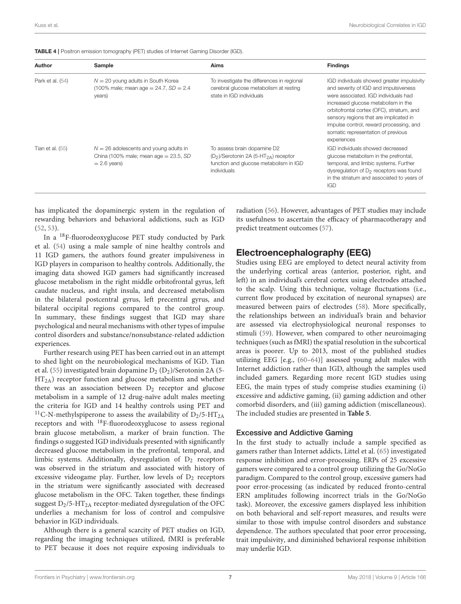| Author           | Sample                                                                                                 | Aims                                                                                                                                                         | <b>Findings</b>                                                                                                                                                                                                                                                                                                                                           |
|------------------|--------------------------------------------------------------------------------------------------------|--------------------------------------------------------------------------------------------------------------------------------------------------------------|-----------------------------------------------------------------------------------------------------------------------------------------------------------------------------------------------------------------------------------------------------------------------------------------------------------------------------------------------------------|
| Park et al. (54) | $N = 20$ young adults in South Korea<br>(100% male; mean age = $24.7$ , $SD = 2.4$<br>years)           | To investigate the differences in regional<br>cerebral glucose metabolism at resting<br>state in IGD individuals                                             | IGD individuals showed greater impulsivity<br>and severity of IGD and impulsiveness<br>were associated. IGD individuals had<br>increased glucose metabolism in the<br>orbitofrontal cortex (OFC), striatum, and<br>sensory regions that are implicated in<br>impulse control, reward processing, and<br>somatic representation of previous<br>experiences |
| Tian et al. (55) | $N = 26$ adolescents and young adults in<br>China (100% male; mean age $= 23.5$ , SD<br>$= 2.6$ years) | To assess brain dopamine D2<br>(D <sub>2</sub> )/Serotonin 2A (5-HT <sub>2A</sub> ) receptor<br>function and glucose metabolism in IGD<br><i>individuals</i> | IGD individuals showed decreased<br>glucose metabolism in the prefrontal,<br>temporal, and limbic systems. Further<br>dysregulation of D <sub>2</sub> receptors was found<br>in the striatum and associated to years of<br><b>IGD</b>                                                                                                                     |

<span id="page-7-0"></span>

|  | <b>TABLE 4</b>   Positron emission tomography (PET) studies of Internet Gaming Disorder (IGD). |  |  |  |  |
|--|------------------------------------------------------------------------------------------------|--|--|--|--|
|--|------------------------------------------------------------------------------------------------|--|--|--|--|

has implicated the dopaminergic system in the regulation of rewarding behaviors and behavioral addictions, such as IGD [\(52,](#page-12-9) [53\)](#page-12-10).

In a <sup>18</sup>F-fluorodeoxyglucose PET study conducted by Park et al. [\(54\)](#page-12-7) using a male sample of nine healthy controls and 11 IGD gamers, the authors found greater impulsiveness in IGD players in comparison to healthy controls. Additionally, the imaging data showed IGD gamers had significantly increased glucose metabolism in the right middle orbitofrontal gyrus, left caudate nucleus, and right insula, and decreased metabolism in the bilateral postcentral gyrus, left precentral gyrus, and bilateral occipital regions compared to the control group. In summary, these findings suggest that IGD may share psychological and neural mechanisms with other types of impulse control disorders and substance/nonsubstance-related addiction experiences.

Further research using PET has been carried out in an attempt to shed light on the neurobiological mechanisms of IGD. Tian et al. [\(55\)](#page-12-8) investigated brain dopamine  $D_2$  ( $D_2$ )/Serotonin 2A (5-HT2A) receptor function and glucose metabolism and whether there was an association between  $D_2$  receptor and glucose metabolism in a sample of 12 drug-naïve adult males meeting the criteria for IGD and 14 healthy controls using PET and <sup>11</sup>C-N-methylspiperone to assess the availability of  $D_2/5$ -HT<sub>2A</sub> receptors and with <sup>18</sup>F-fluorodeoxyglucose to assess regional brain glucose metabolism, a marker of brain function. The findings o suggested IGD individuals presented with significantly decreased glucose metabolism in the prefrontal, temporal, and limbic systems. Additionally, dysregulation of  $D_2$  receptors was observed in the striatum and associated with history of excessive videogame play. Further, low levels of  $D_2$  receptors in the striatum were significantly associated with decreased glucose metabolism in the OFC. Taken together, these findings suggest  $D_2/5$ -HT<sub>2A</sub> receptor-mediated dysregulation of the OFC underlies a mechanism for loss of control and compulsive behavior in IGD individuals.

Although there is a general scarcity of PET studies on IGD, regarding the imaging techniques utilized, fMRI is preferable to PET because it does not require exposing individuals to

radiation [\(56\)](#page-12-11). However, advantages of PET studies may include its usefulness to ascertain the efficacy of pharmacotherapy and predict treatment outcomes [\(57\)](#page-12-12).

### Electroencephalography (EEG)

Studies using EEG are employed to detect neural activity from the underlying cortical areas (anterior, posterior, right, and left) in an individual's cerebral cortex using electrodes attached to the scalp. Using this technique, voltage fluctuations (i.e., current flow produced by excitation of neuronal synapses) are measured between pairs of electrodes [\(58\)](#page-12-13). More specifically, the relationships between an individual's brain and behavior are assessed via electrophysiological neuronal responses to stimuli [\(59\)](#page-12-14). However, when compared to other neuroimaging techniques (such as fMRI) the spatial resolution in the subcortical areas is poorer. Up to 2013, most of the published studies utilizing EEG [e.g., [\(60–](#page-12-15)[64\)](#page-12-16)] assessed young adult males with Internet addiction rather than IGD, although the samples used included gamers. Regarding more recent IGD studies using EEG, the main types of study comprise studies examining (i) excessive and addictive gaming, (ii) gaming addiction and other comorbid disorders, and (iii) gaming addiction (miscellaneous). The included studies are presented in **[Table 5](#page-8-0)**.

#### Excessive and Addictive Gaming

In the first study to actually include a sample specified as gamers rather than Internet addicts, Littel et al. [\(65\)](#page-12-17) investigated response inhibition and error-processing. ERPs of 25 excessive gamers were compared to a control group utilizing the Go/NoGo paradigm. Compared to the control group, excessive gamers had poor error-processing (as indicated by reduced fronto-central ERN amplitudes following incorrect trials in the Go/NoGo task). Moreover, the excessive gamers displayed less inhibition on both behavioral and self-report measures, and results were similar to those with impulse control disorders and substance dependence. The authors speculated that poor error processing, trait impulsivity, and diminished behavioral response inhibition may underlie IGD.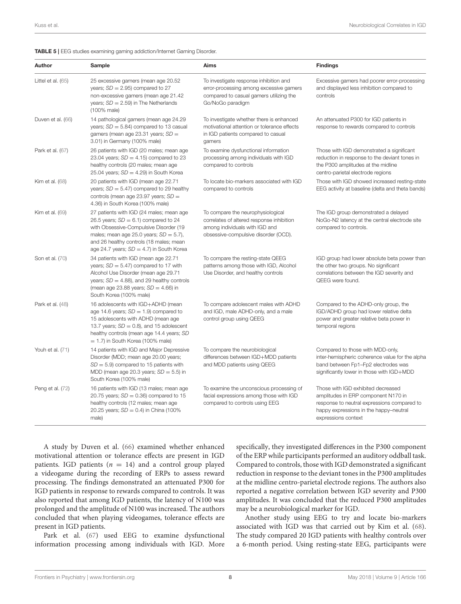<span id="page-8-0"></span>

| <b>TABLE 5</b>   EEG studies examining gaming addiction/Internet Gaming Disorder. |  |  |  |
|-----------------------------------------------------------------------------------|--|--|--|
|                                                                                   |  |  |  |

| Author             | Sample                                                                                                                                                                                                                                                               | Aims                                                                                                                                                     | <b>Findings</b>                                                                                                                                                                           |
|--------------------|----------------------------------------------------------------------------------------------------------------------------------------------------------------------------------------------------------------------------------------------------------------------|----------------------------------------------------------------------------------------------------------------------------------------------------------|-------------------------------------------------------------------------------------------------------------------------------------------------------------------------------------------|
| Littel et al. (65) | 25 excessive gamers (mean age 20.52<br>years; $SD = 2.95$ ) compared to 27<br>non-excessive gamers (mean age 21.42<br>years; $SD = 2.59$ ) in The Netherlands<br>(100% male)                                                                                         | To investigate response inhibition and<br>error-processing among excessive gamers<br>compared to casual gamers utilizing the<br>Go/NoGo paradigm         | Excessive gamers had poorer error-processing<br>and displayed less inhibition compared to<br>controls                                                                                     |
| Duven et al. (66)  | 14 pathological gamers (mean age 24.29<br>years; $SD = 5.84$ ) compared to 13 casual<br>gamers (mean age 23.31 years; $SD =$<br>3.01) in Germany (100% male)                                                                                                         | To investigate whether there is enhanced<br>motivational attention or tolerance effects<br>in IGD patients compared to casual<br>gamers                  | An attenuated P300 for IGD patients in<br>response to rewards compared to controls                                                                                                        |
| Park et al. (67)   | 26 patients with IGD (20 males; mean age<br>23.04 years; $SD = 4.15$ ) compared to 23<br>healthy controls (20 males; mean age<br>25.04 years; $SD = 4.29$ ) in South Korea                                                                                           | To examine dysfunctional information<br>processing among individuals with IGD<br>compared to controls                                                    | Those with IGD demonstrated a significant<br>reduction in response to the deviant tones in<br>the P300 amplitudes at the midline<br>centro-parietal electrode regions                     |
| Kim et al. (68)    | 20 patients with IGD (mean age 22.71<br>years; $SD = 5.47$ ) compared to 29 healthy<br>controls (mean age 23.97 years; $SD =$<br>4.36) in South Korea (100% male)                                                                                                    | To locate bio-markers associated with IGD<br>compared to controls                                                                                        | Those with IGD showed increased resting-state<br>EEG activity at baseline (delta and theta bands)                                                                                         |
| Kim et al. (69)    | 27 patients with IGD (24 males; mean age<br>26.5 years; $SD = 6.1$ ) compared to 24<br>with Obsessive-Compulsive Disorder (19<br>males; mean age 25.0 years; $SD = 5.7$ ),<br>and 26 healthy controls (18 males; mean<br>age 24.7 years; $SD = 4.7$ ) in South Korea | To compare the neurophysiological<br>correlates of altered response inhibition<br>among individuals with IGD and<br>obsessive-compulsive disorder (OCD). | The IGD group demonstrated a delayed<br>NoGo-N2 latency at the central electrode site<br>compared to controls.                                                                            |
| Son et al. (70)    | 34 patients with IGD (mean age 22.71<br>years; $SD = 5.47$ ) compared to 17 with<br>Alcohol Use Disorder (mean age 29.71<br>years; $SD = 4.88$ ), and 29 healthy controls<br>(mean age 23.88 years; $SD = 4.66$ ) in<br>South Korea (100% male)                      | To compare the resting-state QEEG<br>patterns among those with IGD, Alcohol<br>Use Disorder, and healthy controls                                        | IGD group had lower absolute beta power than<br>the other two groups. No significant<br>correlations between the IGD severity and<br>QEEG were found.                                     |
| Park et al. (48)   | 16 adolescents with IGD+ADHD (mean<br>age 14.6 years; $SD = 1.9$ ) compared to<br>15 adolescents with ADHD (mean age<br>13.7 years; $SD = 0.8$ ), and 15 adolescent<br>healthy controls (mean age 14.4 years; SD<br>$= 1.7$ ) in South Korea (100% male)             | To compare adolescent males with ADHD<br>and IGD, male ADHD-only, and a male<br>control group using QEEG                                                 | Compared to the ADHD-only group, the<br>IGD/ADHD group had lower relative delta<br>power and greater relative beta power in<br>temporal regions                                           |
| Youh et al. (71)   | 14 patients with IGD and Major Depressive<br>Disorder (MDD; mean age 20.00 years;<br>$SD = 5.9$ compared to 15 patients with<br>MDD (mean age 20.3 years; $SD = 5.5$ ) in<br>South Korea (100% male)                                                                 | To compare the neurobiological<br>differences between IGD+MDD patients<br>and MDD patients using QEEG                                                    | Compared to those with MDD-only,<br>inter-hemispheric coherence value for the alpha<br>band between Fp1-Fp2 electrodes was<br>significantly lower in those with IGD+MDD                   |
| Peng et al. (72)   | 16 patients with IGD (13 males; mean age<br>20.75 years; $SD = 0.36$ ) compared to 15<br>healthy controls (12 males; mean age<br>20.25 years; $SD = 0.4$ ) in China (100%)<br>male)                                                                                  | To examine the unconscious processing of<br>facial expressions among those with IGD<br>compared to controls using EEG                                    | Those with IGD exhibited decreased<br>amplitudes in ERP component N170 in<br>response to neutral expressions compared to<br>happy expressions in the happy-neutral<br>expressions context |

A study by Duven et al. [\(66\)](#page-12-18) examined whether enhanced motivational attention or tolerance effects are present in IGD patients. IGD patients ( $n = 14$ ) and a control group played a videogame during the recording of ERPs to assess reward processing. The findings demonstrated an attenuated P300 for IGD patients in response to rewards compared to controls. It was also reported that among IGD patients, the latency of N100 was prolonged and the amplitude of N100 was increased. The authors concluded that when playing videogames, tolerance effects are present in IGD patients.

Park et al. [\(67\)](#page-12-19) used EEG to examine dysfunctional information processing among individuals with IGD. More specifically, they investigated differences in the P300 component of the ERP while participants performed an auditory oddball task. Compared to controls, those with IGD demonstrated a significant reduction in response to the deviant tones in the P300 amplitudes at the midline centro-parietal electrode regions. The authors also reported a negative correlation between IGD severity and P300 amplitudes. It was concluded that the reduced P300 amplitudes may be a neurobiological marker for IGD.

Another study using EEG to try and locate bio-markers associated with IGD was that carried out by Kim et al. [\(68\)](#page-12-20). The study compared 20 IGD patients with healthy controls over a 6-month period. Using resting-state EEG, participants were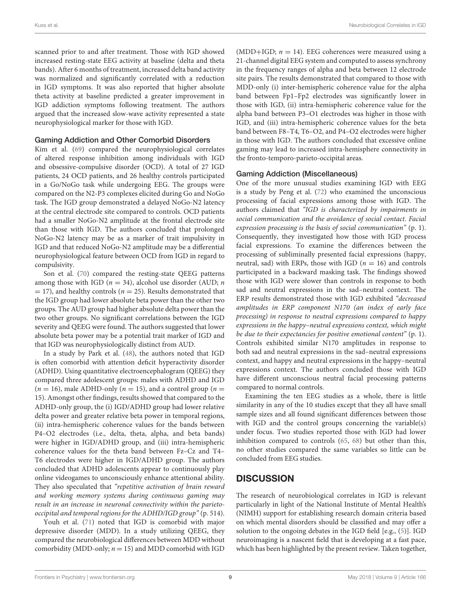scanned prior to and after treatment. Those with IGD showed increased resting-state EEG activity at baseline (delta and theta bands). After 6 months of treatment, increased delta band activity was normalized and significantly correlated with a reduction in IGD symptoms. It was also reported that higher absolute theta activity at baseline predicted a greater improvement in IGD addiction symptoms following treatment. The authors argued that the increased slow-wave activity represented a state neurophysiological marker for those with IGD.

#### Gaming Addiction and Other Comorbid Disorders

Kim et al. [\(69\)](#page-12-21) compared the neurophysiological correlates of altered response inhibition among individuals with IGD and obsessive-compulsive disorder (OCD). A total of 27 IGD patients, 24 OCD patients, and 26 healthy controls participated in a Go/NoGo task while undergoing EEG. The groups were compared on the N2-P3 complexes elicited during Go and NoGo task. The IGD group demonstrated a delayed NoGo-N2 latency at the central electrode site compared to controls. OCD patients had a smaller NoGo-N2 amplitude at the frontal electrode site than those with IGD. The authors concluded that prolonged NoGo-N2 latency may be as a marker of trait impulsivity in IGD and that reduced NoGo-N2 amplitude may be a differential neurophysiological feature between OCD from IGD in regard to compulsivity.

Son et al. [\(70\)](#page-12-22) compared the resting-state QEEG patterns among those with IGD ( $n = 34$ ), alcohol use disorder (AUD;  $n$  $=$  17), and healthy controls ( $n = 25$ ). Results demonstrated that the IGD group had lower absolute beta power than the other two groups. The AUD group had higher absolute delta power than the two other groups. No significant correlations between the IGD severity and QEEG were found. The authors suggested that lower absolute beta power may be a potential trait marker of IGD and that IGD was neurophysiologically distinct from AUD.

In a study by Park et al. [\(48\)](#page-12-3), the authors noted that IGD is often comorbid with attention deficit hyperactivity disorder (ADHD). Using quantitative electroencephalogram (QEEG) they compared three adolescent groups: males with ADHD and IGD  $(n = 16)$ , male ADHD-only  $(n = 15)$ , and a control group  $(n = 16)$ 15). Amongst other findings, results showed that compared to the ADHD-only group, the (i) IGD/ADHD group had lower relative delta power and greater relative beta power in temporal regions, (ii) intra-hemispheric coherence values for the bands between P4–O2 electrodes (i.e., delta, theta, alpha, and beta bands) were higher in IGD/ADHD group, and (iii) intra-hemispheric coherence values for the theta band between Fz–Cz and T4– T6 electrodes were higher in IGD/ADHD group. The authors concluded that ADHD adolescents appear to continuously play online videogames to unconsciously enhance attentional ability. They also speculated that "repetitive activation of brain reward and working memory systems during continuous gaming may result in an increase in neuronal connectivity within the parietooccipital and temporal regions for the ADHD/IGD group" (p. 514).

Youh et al. [\(71\)](#page-12-23) noted that IGD is comorbid with major depressive disorder (MDD). In a study utilizing QEEG, they compared the neurobiological differences between MDD without comorbidity (MDD-only;  $n = 15$ ) and MDD comorbid with IGD (MDD+IGD;  $n = 14$ ). EEG coherences were measured using a 21-channel digital EEG system and computed to assess synchrony in the frequency ranges of alpha and beta between 12 electrode site pairs. The results demonstrated that compared to those with MDD-only (i) inter-hemispheric coherence value for the alpha band between Fp1–Fp2 electrodes was significantly lower in those with IGD, (ii) intra-hemispheric coherence value for the alpha band between P3–O1 electrodes was higher in those with IGD, and (iii) intra-hemispheric coherence values for the beta band between F8–T4, T6–O2, and P4–O2 electrodes were higher in those with IGD. The authors concluded that excessive online gaming may lead to increased intra-hemisphere connectivity in the fronto-temporo-parieto-occipital areas.

#### Gaming Addiction (Miscellaneous)

One of the more unusual studies examining IGD with EEG is a study by Peng et al. [\(72\)](#page-12-24) who examined the unconscious processing of facial expressions among those with IGD. The authors claimed that "IGD is characterized by impairments in social communication and the avoidance of social contact. Facial expression processing is the basis of social communication" (p. 1). Consequently, they investigated how those with IGD process facial expressions. To examine the differences between the processing of subliminally presented facial expressions (happy, neutral, sad) with ERPs, those with IGD ( $n = 16$ ) and controls participated in a backward masking task. The findings showed those with IGD were slower than controls in response to both sad and neutral expressions in the sad–neutral context. The ERP results demonstrated those with IGD exhibited "decreased amplitudes in ERP component N170 (an index of early face processing) in response to neutral expressions compared to happy expressions in the happy–neutral expressions context, which might be due to their expectancies for positive emotional content" (p. 1). Controls exhibited similar N170 amplitudes in response to both sad and neutral expressions in the sad–neutral expressions context, and happy and neutral expressions in the happy–neutral expressions context. The authors concluded those with IGD have different unconscious neutral facial processing patterns compared to normal controls.

Examining the ten EEG studies as a whole, there is little similarity in any of the 10 studies except that they all have small sample sizes and all found significant differences between those with IGD and the control groups concerning the variable(s) under focus. Two studies reported those with IGD had lower inhibition compared to controls [\(65,](#page-12-17) [68\)](#page-12-20) but other than this, no other studies compared the same variables so little can be concluded from EEG studies.

# **DISCUSSION**

The research of neurobiological correlates in IGD is relevant particularly in light of the National Institute of Mental Health's (NIMH) support for establishing research domain criteria based on which mental disorders should be classified and may offer a solution to the ongoing debates in the IGD field [e.g., [\(5\)](#page-11-1)]. IGD neuroimaging is a nascent field that is developing at a fast pace, which has been highlighted by the present review. Taken together,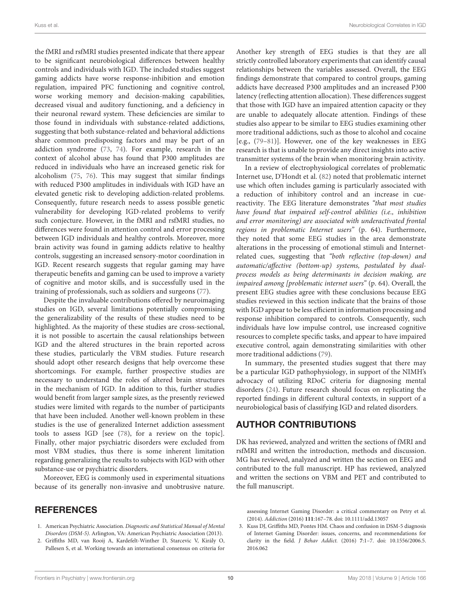the fMRI and rsfMRI studies presented indicate that there appear to be significant neurobiological differences between healthy controls and individuals with IGD. The included studies suggest gaming addicts have worse response-inhibition and emotion regulation, impaired PFC functioning and cognitive control, worse working memory and decision-making capabilities, decreased visual and auditory functioning, and a deficiency in their neuronal reward system. These deficiencies are similar to those found in individuals with substance-related addictions, suggesting that both substance-related and behavioral addictions share common predisposing factors and may be part of an addiction syndrome [\(73,](#page-12-25) [74\)](#page-12-26). For example, research in the context of alcohol abuse has found that P300 amplitudes are reduced in individuals who have an increased genetic risk for alcoholism [\(75,](#page-12-27) [76\)](#page-12-28). This may suggest that similar findings with reduced P300 amplitudes in individuals with IGD have an elevated genetic risk to developing addiction-related problems. Consequently, future research needs to assess possible genetic vulnerability for developing IGD-related problems to verify such conjecture. However, in the fMRI and rsfMRI studies, no differences were found in attention control and error processing between IGD individuals and healthy controls. Moreover, more brain activity was found in gaming addicts relative to healthy controls, suggesting an increased sensory-motor coordination in IGD. Recent research suggests that regular gaming may have therapeutic benefits and gaming can be used to improve a variety of cognitive and motor skills, and is successfully used in the training of professionals, such as soldiers and surgeons [\(77\)](#page-12-29).

Despite the invaluable contributions offered by neuroimaging studies on IGD, several limitations potentially compromising the generalizability of the results of these studies need to be highlighted. As the majority of these studies are cross-sectional, it is not possible to ascertain the causal relationships between IGD and the altered structures in the brain reported across these studies, particularly the VBM studies. Future research should adopt other research designs that help overcome these shortcomings. For example, further prospective studies are necessary to understand the roles of altered brain structures in the mechanism of IGD. In addition to this, further studies would benefit from larger sample sizes, as the presently reviewed studies were limited with regards to the number of participants that have been included. Another well-known problem in these studies is the use of generalized Internet addiction assessment tools to assess IGD [see [\(78\)](#page-12-30), for a review on the topic]. Finally, other major psychiatric disorders were excluded from most VBM studies, thus there is some inherent limitation regarding generalizing the results to subjects with IGD with other substance-use or psychiatric disorders.

Moreover, EEG is commonly used in experimental situations because of its generally non-invasive and unobtrusive nature.

#### **REFERENCES**

- <span id="page-10-0"></span>1. American Psychiatric Association. Diagnostic and Statistical Manual of Mental Disorders (DSM-5). Arlington, VA: American Psychiatric Association (2013).
- <span id="page-10-1"></span>2. Griffiths MD, van Rooij A, Kardefelt-Winther D, Starcevic V, Király O, Pallesen S, et al. Working towards an international consensus on criteria for

Another key strength of EEG studies is that they are all strictly controlled laboratory experiments that can identify causal relationships between the variables assessed. Overall, the EEG findings demonstrate that compared to control groups, gaming addicts have decreased P300 amplitudes and an increased P300 latency (reflecting attention allocation). These differences suggest that those with IGD have an impaired attention capacity or they are unable to adequately allocate attention. Findings of these studies also appear to be similar to EEG studies examining other more traditional addictions, such as those to alcohol and cocaine [e.g., [\(79](#page-12-31)[–81\)](#page-12-32)]. However, one of the key weaknesses in EEG research is that is unable to provide any direct insights into active transmitter systems of the brain when monitoring brain activity.

In a review of electrophysiological correlates of problematic Internet use, D'Hondt et al. [\(82\)](#page-12-33) noted that problematic internet use which often includes gaming is particularly associated with a reduction of inhibitory control and an increase in cuereactivity. The EEG literature demonstrates "that most studies have found that impaired self-control abilities (i.e., inhibition and error monitoring) are associated with underactivated frontal regions in problematic Internet users" (p. 64). Furthermore, they noted that some EEG studies in the area demonstrate alterations in the processing of emotional stimuli and Internetrelated cues, suggesting that "both reflective (top-down) and automatic/affective (bottom-up) systems, postulated by dualprocess models as being determinants in decision making, are impaired among [problematic internet users" (p. 64). Overall, the present EEG studies agree with these conclusions because EEG studies reviewed in this section indicate that the brains of those with IGD appear to be less efficient in information processing and response inhibition compared to controls. Consequently, such individuals have low impulse control, use increased cognitive resources to complete specific tasks, and appear to have impaired executive control, again demonstrating similarities with other more traditional addictions [\(79\)](#page-12-31).

In summary, the presented studies suggest that there may be a particular IGD pathophysiology, in support of the NIMH's advocacy of utilizing RDoC criteria for diagnosing mental disorders [\(24\)](#page-11-9). Future research should focus on replicating the reported findings in different cultural contexts, in support of a neurobiological basis of classifying IGD and related disorders.

# AUTHOR CONTRIBUTIONS

DK has reviewed, analyzed and written the sections of fMRI and rsfMRI and written the introduction, methods and discussion. MG has reviewed, analyzed and written the section on EEG and contributed to the full manuscript. HP has reviewed, analyzed and written the sections on VBM and PET and contributed to the full manuscript.

assessing Internet Gaming Disorder: a critical commentary on Petry et al. (2014). Addiction (2016) **111**:167–78. doi: [10.1111/add.13057](https://doi.org/10.1111/add.13057)

<span id="page-10-2"></span>3. Kuss DJ, Griffiths MD, Pontes HM. Chaos and confusion in DSM-5 diagnosis of Internet Gaming Disorder: issues, concerns, and recommendations for clarity in the field. J Behav Addict. (2016) **7**[:1–7. doi: 10.1556/2006.5.](https://doi.org/10.1556/2006.5.2016.062) 2016.062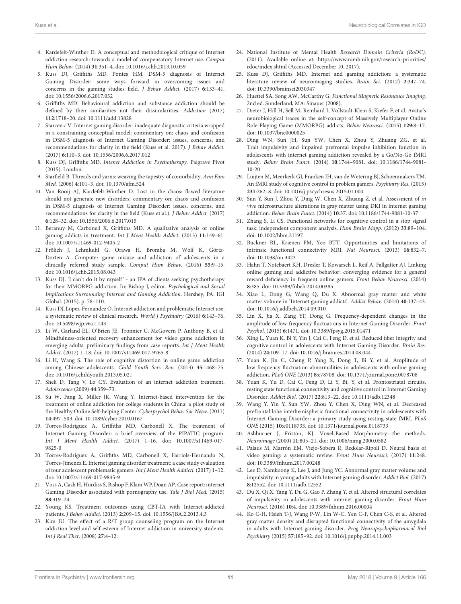- <span id="page-11-0"></span>4. Kardefelt-Winther D. A conceptual and methodological critique of Internet addiction research: towards a model of compensatory Internet use. Comput Hum Behav. (2014) **31**:351–4. doi: [10.1016/j.chb.2013.10.059](https://doi.org/10.1016/j.chb.2013.10.059)
- <span id="page-11-1"></span>5. Kuss DJ, Griffiths MD, Pontes HM. DSM-5 diagnosis of Internet Gaming Disorder: some ways forward in overcoming issues and concerns in the gaming studies field. J Behav Addict. (2017) **6**:133–41. doi: [10.1556/2006.6.2017.032](https://doi.org/10.1556/2006.6.2017.032)
- <span id="page-11-2"></span>6. Griffiths MD. Behavioural addiction and substance addiction should be defined by their similarities not their dissimilarities. Addiction (2017) **112**:1718–20. doi: [10.1111/add.13828](https://doi.org/10.1111/add.13828)
- <span id="page-11-3"></span>7. Starcevic V. Internet gaming disorder: inadequate diagnostic criteria wrapped in a constraining conceptual model: commentary on: chaos and confusion in DSM-5 diagnosis of Internet Gaming Disorder: issues, concerns, and recommendations for clarity in the field (Kuss et al. 2017). J Behav Addict. (2017) **6**:110–3. doi: [10.1556/2006.6.2017.012](https://doi.org/10.1556/2006.6.2017.012)
- <span id="page-11-4"></span>8. Kuss DJ, Griffiths MD. Intenet Addiction in Psychotherapy. Palgrave Pivot (2015). London.
- <span id="page-11-5"></span>9. Starfield B. Threads and yarns: weaving the tapestry of comorbidity. Ann Fam Med. (2006) **4**:101–3. doi: [10.1370/afm.524](https://doi.org/10.1370/afm.524)
- <span id="page-11-6"></span>10. Van Rooij AJ, Kardefelt-Winther D. Lost in the chaos: flawed literature should not generate new disorders: commentary on: chaos and confusion in DSM-5 diagnosis of Internet Gaming Disorder: issues, concerns, and recommendations for clarity in the field (Kuss et al.). J Behav Addict. (2017) **6**:128–32. doi: [10.1556/2006.6.2017.015](https://doi.org/10.1556/2006.6.2017.015)
- <span id="page-11-7"></span>11. Beranuy M, Carbonell X, Griffiths MD. A qualitative analysis of online gaming addicts in treatment. Int J Ment Health Addict. (2013) **11**:149–61. doi: [10.1007/s11469-012-9405-2](https://doi.org/10.1007/s11469-012-9405-2)
- 12. Frölich J, Lehmkuhl G, Orawa H, Bromba M, Wolf K, Görtz-Dorten A. Computer game misuse and addiction of adolescents in a clinically referred study sample. Comput Hum Behav. (2016) **55**:9–15. doi: [10.1016/j.chb.2015.08.043](https://doi.org/10.1016/j.chb.2015.08.043)
- 13. Kuss DJ. 'I can't do it by myself' an IPA of clients seeking psychotherapy for their MMORPG addiction. In: Bishop J, editor. Psychological and Social Implications Surrounding Internet and Gaming Addiction. Hershey, PA: IGI Global. (2015). p. 78–110.
- 14. Kuss DJ, Lopez-Fernandez O. Internet addiction and problematic Internet use: a systematic review of clinical research. World J Psychiatry (2016) **6**:143–76. doi: [10.5498/wjp.v6.i1.143](https://doi.org/10.5498/wjp.v6.i1.143)
- 15. Li W, Garland EL, O'Brien JE, Tronnier C, McGovern P, Anthony B, et al. Mindfulness-oriented recovery enhancement for video game addiction in emerging adults: preliminary findings from case reports. Int J Ment Health Addict. (2017) 1–18. doi: [10.1007/s11469-017-9765-8](https://doi.org/10.1007/s11469-017-9765-8)
- 16. Li H, Wang S. The role of cognitive distortion in online game addiction among Chinese adolescents. Child Youth Serv Rev. (2013) **35**:1468–75. doi: [10.1016/j.childyouth.2013.05.021](https://doi.org/10.1016/j.childyouth.2013.05.021)
- 17. Shek D, Tang V, Lo CY. Evaluation of an internet addiction treatment. Adolescence (2009) **44**:359–73.
- 18. Su W, Fang X, Miller JK, Wang Y. Internet-based intervention for the treatment of online addiction for college students in China: a pilot study of the Healthy Online Self-helping Center. Cyberpsychol Behav Soc Netw. (2011) **14**:497–503. doi: [10.1089/cyber.2010.0167](https://doi.org/10.1089/cyber.2010.0167)
- 19. Torres-Rodriguez A, Griffiths MD, Carbonell X. The treatment of Internet Gaming Disorder: a brief overview of the PIPATIC program. Int J Ment Health Addict. [\(2017\) 1–16. doi: 10.1007/s11469-017-](https://doi.org/10.1007/s11469-017-9825-0) 9825-0
- 20. Torres-Rodriguez A, Griffiths MD, Carbonell X, Farriols-Hernando N, Torres-Jimenez E. Internet gaming disorder treatment: a case study evaluation of four adolescent problematic gamers. Int J Ment Health Addicti. (2017) 1–12. doi: [10.1007/s11469-017-9845-9](https://doi.org/10.1007/s11469-017-9845-9)
- 21. Voss A, Cash H, Hurdiss S, Bishop F, Klam WP, Doan AP. Case report: internet Gaming Disorder associated with pornography use. Yale J Biol Med. (2015) **88**:319–24.
- 22. Young KS. Treatment outcomes using CBT-IA with Internet-addicted patients. J Behav Addict. (2013) **2**:209–15. doi: [10.1556/JBA.2.2013.4.3](https://doi.org/10.1556/JBA.2.2013.4.3)
- <span id="page-11-8"></span>23. Kim JU. The effect of a R/T group counseling program on the Internet addiction level and self-esteem of Internet addiction in university students. Int J Real Ther. (2008) **27**:4–12.
- <span id="page-11-9"></span>24. National Institute of Mental Health Research Domain Criteria (RoDC). (2011). Available online at: [https://www.nimh.nih.gov/research-priorities/](https://www.nimh.nih.gov/research-priorities/rdoc/index.shtml) [rdoc/index.shtml](https://www.nimh.nih.gov/research-priorities/rdoc/index.shtml) (Accessed December 10, 2017).
- <span id="page-11-10"></span>25. Kuss DJ, Griffiths MD. Internet and gaming addiction: a systematic literature review of neuroimaging studies. Brain Sci. (2012) **2**:347–74. doi: [10.3390/brainsci2030347](https://doi.org/10.3390/brainsci2030347)
- <span id="page-11-11"></span>26. Huettel SA, Song AW, McCarthy G. Functional Magnetic Resonance Imaging. 2nd ed. Sunderland, MA: Sinauer (2008).
- <span id="page-11-12"></span>27. Dieter J, Hill H, Sell M, Reinhard I, Vollstadt-Klein S, Kiefer F, et al. Avatar's neurobiological traces in the self-concept of Massively Multiplayer Online Role-Playing Game (MMORPG) addicts. Behav Neurosci. (2015) **129**:8–17. doi: [10.1037/bne0000025](https://doi.org/10.1037/bne0000025)
- <span id="page-11-14"></span>28. Ding WN, Sun JH, Sun YW, Chen X, Zhou Y, Zhuang ZG, et al. Trait impulsivity and impaired prefrontal impulse inhibition function in adolescents with internet gaming addiction revealed by a Go/No-Go fMRI study. Behav Brain Funct. (2014) **10**[:1744–9081. doi: 10.1186/1744-9081-](https://doi.org/10.1186/1744-9081-10-20) 10-20
- <span id="page-11-16"></span>29. Luijten M, Meerkerk GJ, Franken IH, van de Wetering BJ, Schoenmakers TM. An fMRI study of cognitive control in problem gamers. Psychiatry Res. (2015) **231**:262–8. doi: [10.1016/j.pscychresns.2015.01.004](https://doi.org/10.1016/j.pscychresns.2015.01.004)
- <span id="page-11-13"></span>30. Sun Y, Sun J, Zhou Y, Ding W, Chen X, Zhuang Z, et al. Assessment of in vivo microstructure alterations in gray matter using DKI in internet gaming addiction. Behav Brain Funct. (2014) **10**:37. doi: [10.1186/1744-9081-10-37](https://doi.org/10.1186/1744-9081-10-37)
- <span id="page-11-15"></span>31. Zhang S, Li CS. Functional networks for cognitive control in a stop signal task: independent component analysis. Hum Brain Mapp. (2012) **33**:89–104. doi: [10.1002/hbm.21197](https://doi.org/10.1002/hbm.21197)
- <span id="page-11-17"></span>32. Buckner RL, Krienen FM, Yeo BTT. Opportunities and limitations of intrinsic functional connectivity MRI. Nat Neurosci. (2013) **16**:832–7. doi: [10.1038/nn.3423](https://doi.org/10.1038/nn.3423)
- <span id="page-11-18"></span>33. Hahn T, Notebaert KH, Dresler T, Kowarsch L, Reif A, Fallgatter AJ. Linking online gaming and addictive behavior: converging evidence for a general reward deficiency in frequent online gamers. Front Behav Neurosci. (2014) **8**:385. doi: [10.3389/fnbeh.2014.00385](https://doi.org/10.3389/fnbeh.2014.00385)
- <span id="page-11-20"></span>34. Xiao L, Dong G, Wang Q, Du X. Abnormal gray matter and white matter volume in 'Internet gaming addicts'. Addict Behav. (2014) **40**:137–43. doi: [10.1016/j.addbeh.2014.09.010](https://doi.org/10.1016/j.addbeh.2014.09.010)
- <span id="page-11-23"></span>35. Lin X, Jia X, Zang YF, Dong G. Frequency-dependent changes in the amplitude of low-frequency fluctuations in Internet Gaming Disorder. Front Psychol. (2015) **6**:1471. doi: [10.3389/fpsyg.2015.01471](https://doi.org/10.3389/fpsyg.2015.01471)
- <span id="page-11-21"></span>36. Xing L, Yuan K, Bi Y, Yin J, Cai C, Feng D, et al. Reduced fiber integrity and cognitive control in adolescents with Internet Gaming Disorder. Brain Res. (2014) **24**:109–17. doi: [10.1016/j.brainres.2014.08.044](https://doi.org/10.1016/j.brainres.2014.08.044)
- 37. Yuan K, Jin C, Cheng P, Yang X, Dong T, Bi Y, et al. Amplitude of low frequency fluctuation abnormalities in adolescents with online gaming addiction. PLoS ONE (2013) **8**:e78708. doi: [10.1371/journal.pone.0078708](https://doi.org/10.1371/journal.pone.0078708)
- <span id="page-11-22"></span>38. Yuan K, Yu D, Cai C, Feng D, Li Y, Bi, Y, et al. Frontostriatal circuits, resting state functional connectivity and cognitive control in Internet Gaming Disorder. Addict Biol. (2017) **22**:813–22. doi: [10.1111/adb.12348](https://doi.org/10.1111/adb.12348)
- <span id="page-11-19"></span>39. Wang Y, Yin Y, Sun YW, Zhou Y, Chen X, Ding WN, et al. Decreased prefrontal lobe interhemispheric functional connectivity in adolescents with Internet Gaming Disorder: a primary study using resting-state fMRI. PLoS ONE (2015) **10**:e0118733. doi: [10.1371/journal.pone.0118733](https://doi.org/10.1371/journal.pone.0118733)
- <span id="page-11-24"></span>40. Ashburner J, Friston, KJ. Voxel-Based Morphometry—the methods. Neuroimage (2000) **11**:805–21. doi: [10.1006/nimg.2000.0582](https://doi.org/10.1006/nimg.2000.0582)
- <span id="page-11-25"></span>41. Palaus M, Marrón EM, Viejo-Sobera R, Redolar-Ripoll D. Neural basis of video gaming: a systematic review. Front Hum Neurosci. (2017) **11**:248. doi: [10.3389/fnhum.2017.00248](https://doi.org/10.3389/fnhum.2017.00248)
- <span id="page-11-26"></span>42. Lee D, Namkoong K, Lee J, and Jung YC. Abnormal gray matter volume and impulsivity in young adults with Internet gaming disorder. Addict Biol. (2017) **8**:12552. doi: [10.1111/adb.12552](https://doi.org/10.1111/adb.12552)
- <span id="page-11-27"></span>43. Du X, Qi X, Yang Y, Du G, Gao P, Zhang Y, et al. Altered structural correlates of impulsivity in adolescents with internet gaming disorder. Front Hum Neurosci. (2016) **10**:4. doi: [10.3389/fnhum.2016.00004](https://doi.org/10.3389/fnhum.2016.00004)
- <span id="page-11-28"></span>44. Ko C-H, Hsieh T-J, Wang P-W, Lin W-C, Yen C-F, Chen C-S, et al. Altered gray matter density and disrupted functional connectivity of the amygdala in adults with Internet gaming disorder. Prog Neuropsychopharmacol Biol Psychiatry (2015) **57**:185–92. doi: [10.1016/j.pnpbp.2014.11.003](https://doi.org/10.1016/j.pnpbp.2014.11.003)